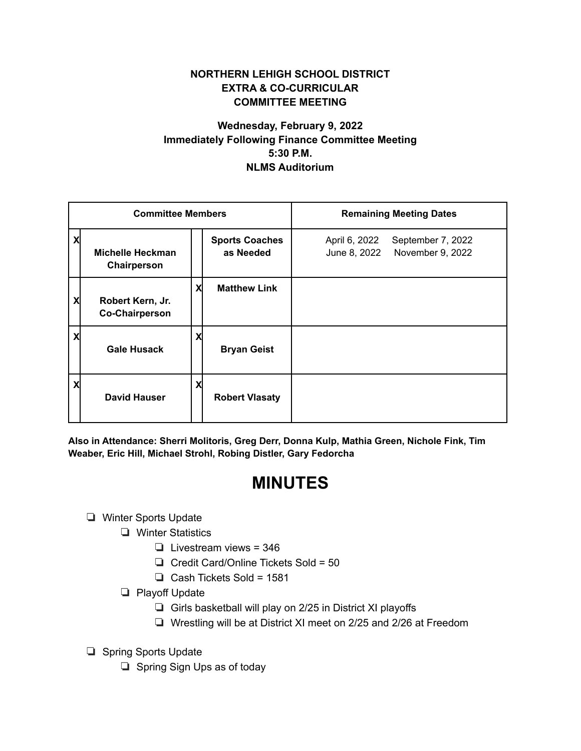## **NORTHERN LEHIGH SCHOOL DISTRICT EXTRA & CO-CURRICULAR COMMITTEE MEETING**

## **Wednesday, February 9, 2022 Immediately Following Finance Committee Meeting 5:30 P.M. NLMS Auditorium**

| <b>Committee Members</b> |                                           |   |                                    | <b>Remaining Meeting Dates</b>                                         |
|--------------------------|-------------------------------------------|---|------------------------------------|------------------------------------------------------------------------|
|                          | <b>Michelle Heckman</b><br>Chairperson    |   | <b>Sports Coaches</b><br>as Needed | April 6, 2022<br>September 7, 2022<br>June 8, 2022<br>November 9, 2022 |
| X                        | Robert Kern, Jr.<br><b>Co-Chairperson</b> | X | <b>Matthew Link</b>                |                                                                        |
| χ                        | <b>Gale Husack</b>                        | X | <b>Bryan Geist</b>                 |                                                                        |
|                          | <b>David Hauser</b>                       | X | <b>Robert Vlasaty</b>              |                                                                        |

**Also in Attendance: Sherri Molitoris, Greg Derr, Donna Kulp, Mathia Green, Nichole Fink, Tim Weaber, Eric Hill, Michael Strohl, Robing Distler, Gary Fedorcha**

# **MINUTES**

### ❏ Winter Sports Update

- ❏ Winter Statistics
	- ❏ Livestream views = 346
	- ❏ Credit Card/Online Tickets Sold = 50
	- ❏ Cash Tickets Sold = 1581
- ❏ Playoff Update
	- ❏ Girls basketball will play on 2/25 in District XI playoffs
	- ❏ Wrestling will be at District XI meet on 2/25 and 2/26 at Freedom
- ❏ Spring Sports Update
	- ❏ Spring Sign Ups as of today